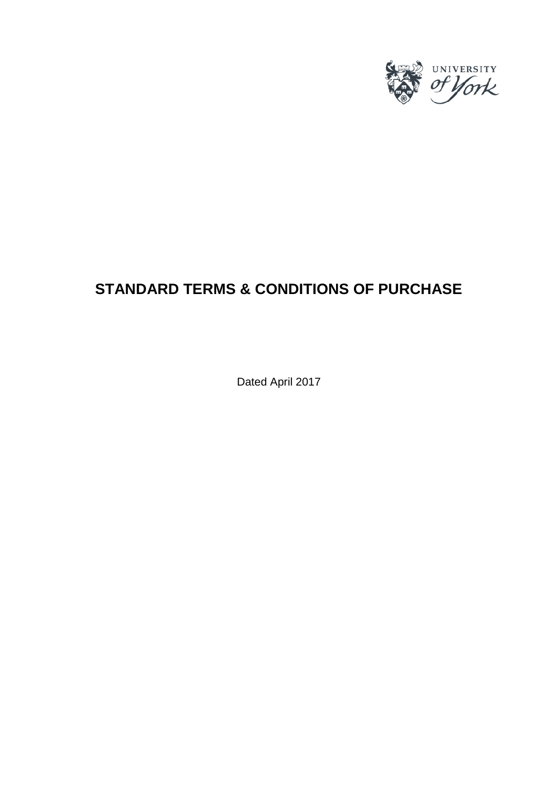

# **STANDARD TERMS & CONDITIONS OF PURCHASE**

Dated April 2017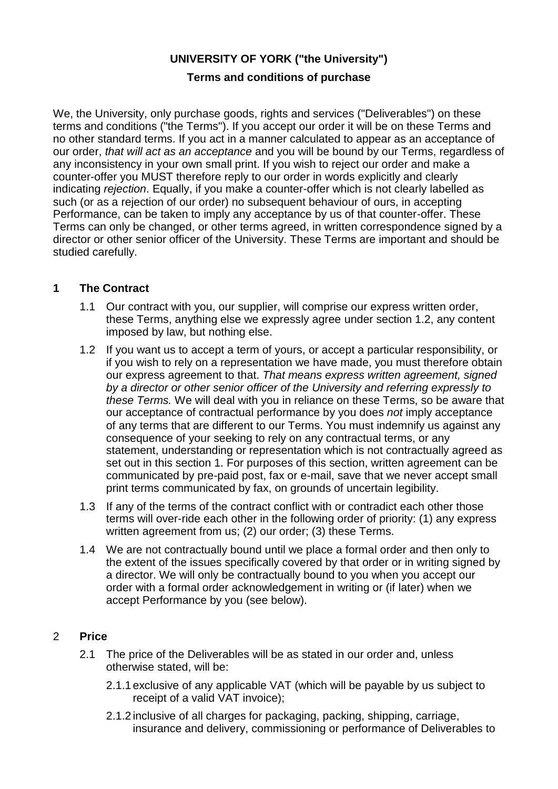# **UNIVERSITY OF YORK ("the University")**

# **Terms and conditions of purchase**

We, the University, only purchase goods, rights and services ("Deliverables") on these terms and conditions ("the Terms"). If you accept our order it will be on these Terms and no other standard terms. If you act in a manner calculated to appear as an acceptance of our order, *that will act as an acceptance* and you will be bound by our Terms, regardless of any inconsistency in your own small print. If you wish to reject our order and make a counter-offer you MUST therefore reply to our order in words explicitly and clearly indicating *rejection*. Equally, if you make a counter-offer which is not clearly labelled as such (or as a rejection of our order) no subsequent behaviour of ours, in accepting Performance, can be taken to imply any acceptance by us of that counter-offer. These Terms can only be changed, or other terms agreed, in written correspondence signed by a director or other senior officer of the University. These Terms are important and should be studied carefully.

#### **1 The Contract**

- 1.1 Our contract with you, our supplier, will comprise our express written order, these Terms, anything else we expressly agree under section 1.2, any content imposed by law, but nothing else.
- 1.2 If you want us to accept a term of yours, or accept a particular responsibility, or if you wish to rely on a representation we have made, you must therefore obtain our express agreement to that. *That means express written agreement, signed by a director or other senior officer of the University and referring expressly to these Terms.* We will deal with you in reliance on these Terms, so be aware that our acceptance of contractual performance by you does *not* imply acceptance of any terms that are different to our Terms. You must indemnify us against any consequence of your seeking to rely on any contractual terms, or any statement, understanding or representation which is not contractually agreed as set out in this section 1. For purposes of this section, written agreement can be communicated by pre-paid post, fax or e-mail, save that we never accept small print terms communicated by fax, on grounds of uncertain legibility.
- 1.3 If any of the terms of the contract conflict with or contradict each other those terms will over-ride each other in the following order of priority: (1) any express written agreement from us; (2) our order; (3) these Terms.
- 1.4 We are not contractually bound until we place a formal order and then only to the extent of the issues specifically covered by that order or in writing signed by a director. We will only be contractually bound to you when you accept our order with a formal order acknowledgement in writing or (if later) when we accept Performance by you (see below).

# 2 **Price**

- 2.1 The price of the Deliverables will be as stated in our order and, unless otherwise stated, will be:
	- 2.1.1 exclusive of any applicable VAT (which will be payable by us subject to receipt of a valid VAT invoice);
	- 2.1.2 inclusive of all charges for packaging, packing, shipping, carriage, insurance and delivery, commissioning or performance of Deliverables to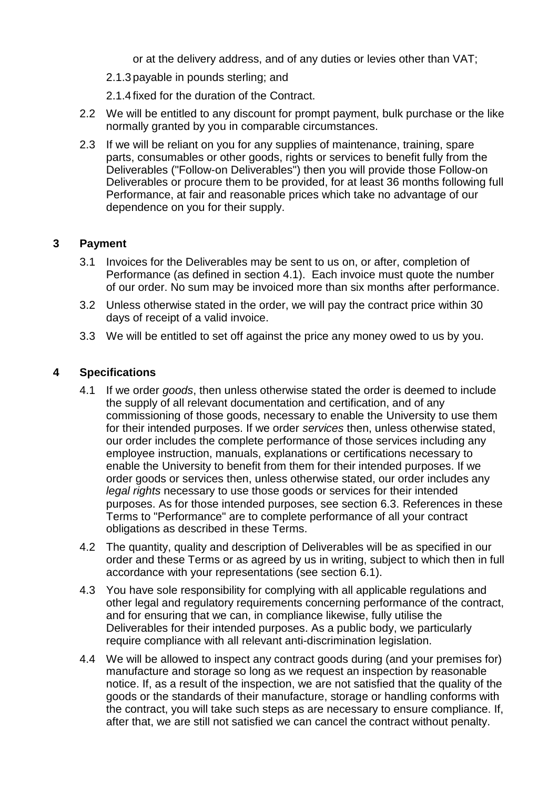or at the delivery address, and of any duties or levies other than VAT;

- 2.1.3 payable in pounds sterling; and
- 2.1.4 fixed for the duration of the Contract.
- 2.2 We will be entitled to any discount for prompt payment, bulk purchase or the like normally granted by you in comparable circumstances.
- 2.3 If we will be reliant on you for any supplies of maintenance, training, spare parts, consumables or other goods, rights or services to benefit fully from the Deliverables ("Follow-on Deliverables") then you will provide those Follow-on Deliverables or procure them to be provided, for at least 36 months following full Performance, at fair and reasonable prices which take no advantage of our dependence on you for their supply.

#### **3 Payment**

- 3.1 Invoices for the Deliverables may be sent to us on, or after, completion of Performance (as defined in section 4.1). Each invoice must quote the number of our order. No sum may be invoiced more than six months after performance.
- 3.2 Unless otherwise stated in the order, we will pay the contract price within 30 days of receipt of a valid invoice.
- 3.3 We will be entitled to set off against the price any money owed to us by you.

#### **4 Specifications**

- 4.1 If we order *goods*, then unless otherwise stated the order is deemed to include the supply of all relevant documentation and certification, and of any commissioning of those goods, necessary to enable the University to use them for their intended purposes. If we order *services* then, unless otherwise stated, our order includes the complete performance of those services including any employee instruction, manuals, explanations or certifications necessary to enable the University to benefit from them for their intended purposes. If we order goods or services then, unless otherwise stated, our order includes any *legal rights* necessary to use those goods or services for their intended purposes. As for those intended purposes, see section 6.3. References in these Terms to "Performance" are to complete performance of all your contract obligations as described in these Terms.
- 4.2 The quantity, quality and description of Deliverables will be as specified in our order and these Terms or as agreed by us in writing, subject to which then in full accordance with your representations (see section 6.1).
- 4.3 You have sole responsibility for complying with all applicable regulations and other legal and regulatory requirements concerning performance of the contract, and for ensuring that we can, in compliance likewise, fully utilise the Deliverables for their intended purposes. As a public body, we particularly require compliance with all relevant anti-discrimination legislation.
- 4.4 We will be allowed to inspect any contract goods during (and your premises for) manufacture and storage so long as we request an inspection by reasonable notice. If, as a result of the inspection, we are not satisfied that the quality of the goods or the standards of their manufacture, storage or handling conforms with the contract, you will take such steps as are necessary to ensure compliance. If, after that, we are still not satisfied we can cancel the contract without penalty.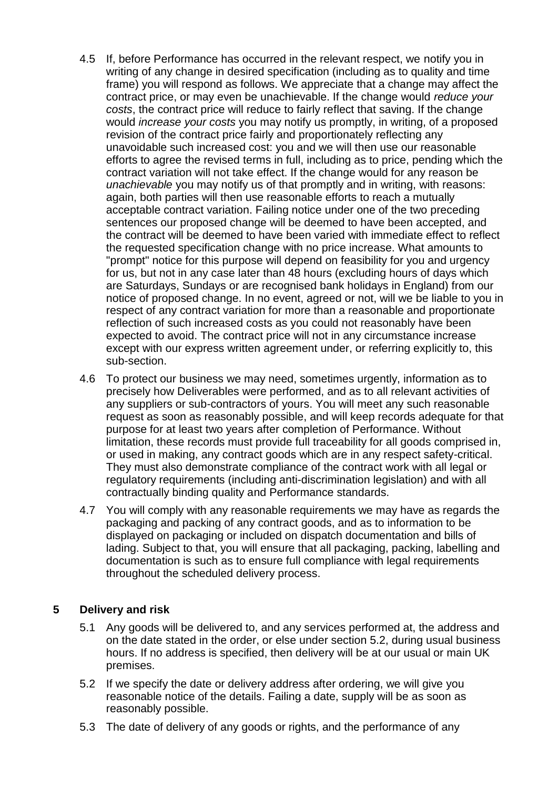- 4.5 If, before Performance has occurred in the relevant respect, we notify you in writing of any change in desired specification (including as to quality and time frame) you will respond as follows. We appreciate that a change may affect the contract price, or may even be unachievable. If the change would *reduce your costs*, the contract price will reduce to fairly reflect that saving. If the change would *increase your costs* you may notify us promptly, in writing, of a proposed revision of the contract price fairly and proportionately reflecting any unavoidable such increased cost: you and we will then use our reasonable efforts to agree the revised terms in full, including as to price, pending which the contract variation will not take effect. If the change would for any reason be *unachievable* you may notify us of that promptly and in writing, with reasons: again, both parties will then use reasonable efforts to reach a mutually acceptable contract variation. Failing notice under one of the two preceding sentences our proposed change will be deemed to have been accepted, and the contract will be deemed to have been varied with immediate effect to reflect the requested specification change with no price increase. What amounts to "prompt" notice for this purpose will depend on feasibility for you and urgency for us, but not in any case later than 48 hours (excluding hours of days which are Saturdays, Sundays or are recognised bank holidays in England) from our notice of proposed change. In no event, agreed or not, will we be liable to you in respect of any contract variation for more than a reasonable and proportionate reflection of such increased costs as you could not reasonably have been expected to avoid. The contract price will not in any circumstance increase except with our express written agreement under, or referring explicitly to, this sub-section.
- 4.6 To protect our business we may need, sometimes urgently, information as to precisely how Deliverables were performed, and as to all relevant activities of any suppliers or sub-contractors of yours. You will meet any such reasonable request as soon as reasonably possible, and will keep records adequate for that purpose for at least two years after completion of Performance. Without limitation, these records must provide full traceability for all goods comprised in, or used in making, any contract goods which are in any respect safety-critical. They must also demonstrate compliance of the contract work with all legal or regulatory requirements (including anti-discrimination legislation) and with all contractually binding quality and Performance standards.
- 4.7 You will comply with any reasonable requirements we may have as regards the packaging and packing of any contract goods, and as to information to be displayed on packaging or included on dispatch documentation and bills of lading. Subject to that, you will ensure that all packaging, packing, labelling and documentation is such as to ensure full compliance with legal requirements throughout the scheduled delivery process.

# **5 Delivery and risk**

- 5.1 Any goods will be delivered to, and any services performed at, the address and on the date stated in the order, or else under section 5.2, during usual business hours. If no address is specified, then delivery will be at our usual or main UK premises.
- 5.2 If we specify the date or delivery address after ordering, we will give you reasonable notice of the details. Failing a date, supply will be as soon as reasonably possible.
- 5.3 The date of delivery of any goods or rights, and the performance of any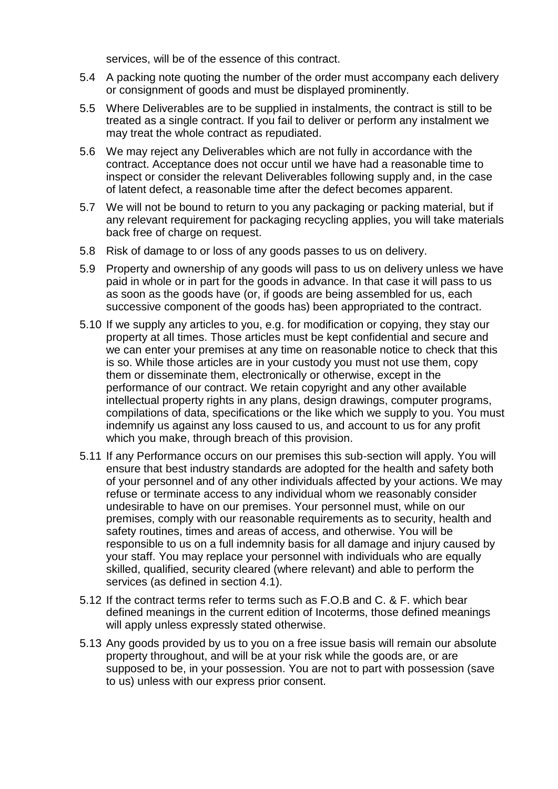services, will be of the essence of this contract.

- 5.4 A packing note quoting the number of the order must accompany each delivery or consignment of goods and must be displayed prominently.
- 5.5 Where Deliverables are to be supplied in instalments, the contract is still to be treated as a single contract. If you fail to deliver or perform any instalment we may treat the whole contract as repudiated.
- 5.6 We may reject any Deliverables which are not fully in accordance with the contract. Acceptance does not occur until we have had a reasonable time to inspect or consider the relevant Deliverables following supply and, in the case of latent defect, a reasonable time after the defect becomes apparent.
- 5.7 We will not be bound to return to you any packaging or packing material, but if any relevant requirement for packaging recycling applies, you will take materials back free of charge on request.
- 5.8 Risk of damage to or loss of any goods passes to us on delivery.
- 5.9 Property and ownership of any goods will pass to us on delivery unless we have paid in whole or in part for the goods in advance. In that case it will pass to us as soon as the goods have (or, if goods are being assembled for us, each successive component of the goods has) been appropriated to the contract.
- 5.10 If we supply any articles to you, e.g. for modification or copying, they stay our property at all times. Those articles must be kept confidential and secure and we can enter your premises at any time on reasonable notice to check that this is so. While those articles are in your custody you must not use them, copy them or disseminate them, electronically or otherwise, except in the performance of our contract. We retain copyright and any other available intellectual property rights in any plans, design drawings, computer programs, compilations of data, specifications or the like which we supply to you. You must indemnify us against any loss caused to us, and account to us for any profit which you make, through breach of this provision.
- 5.11 If any Performance occurs on our premises this sub-section will apply. You will ensure that best industry standards are adopted for the health and safety both of your personnel and of any other individuals affected by your actions. We may refuse or terminate access to any individual whom we reasonably consider undesirable to have on our premises. Your personnel must, while on our premises, comply with our reasonable requirements as to security, health and safety routines, times and areas of access, and otherwise. You will be responsible to us on a full indemnity basis for all damage and injury caused by your staff. You may replace your personnel with individuals who are equally skilled, qualified, security cleared (where relevant) and able to perform the services (as defined in section 4.1).
- 5.12 If the contract terms refer to terms such as F.O.B and C. & F. which bear defined meanings in the current edition of Incoterms, those defined meanings will apply unless expressly stated otherwise.
- 5.13 Any goods provided by us to you on a free issue basis will remain our absolute property throughout, and will be at your risk while the goods are, or are supposed to be, in your possession. You are not to part with possession (save to us) unless with our express prior consent.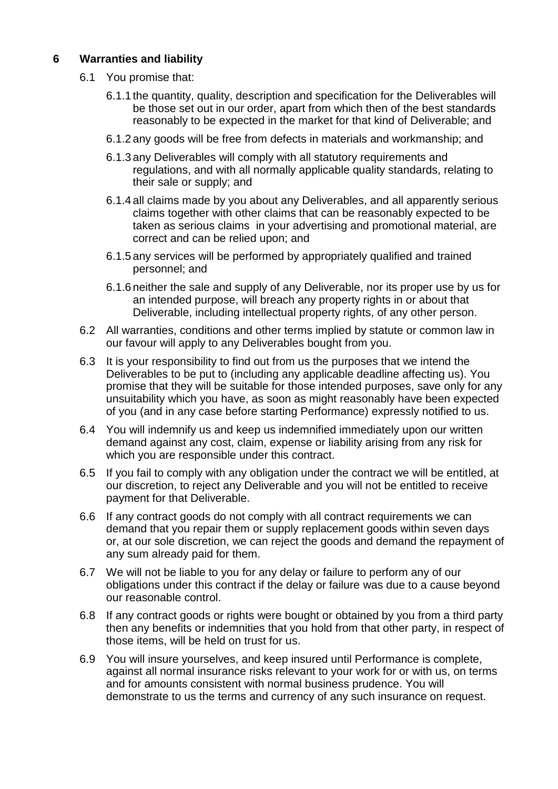#### **6 Warranties and liability**

- 6.1 You promise that:
	- 6.1.1 the quantity, quality, description and specification for the Deliverables will be those set out in our order, apart from which then of the best standards reasonably to be expected in the market for that kind of Deliverable; and
	- 6.1.2 any goods will be free from defects in materials and workmanship; and
	- 6.1.3 any Deliverables will comply with all statutory requirements and regulations, and with all normally applicable quality standards, relating to their sale or supply; and
	- 6.1.4 all claims made by you about any Deliverables, and all apparently serious claims together with other claims that can be reasonably expected to be taken as serious claims in your advertising and promotional material, are correct and can be relied upon; and
	- 6.1.5 any services will be performed by appropriately qualified and trained personnel; and
	- 6.1.6 neither the sale and supply of any Deliverable, nor its proper use by us for an intended purpose, will breach any property rights in or about that Deliverable, including intellectual property rights, of any other person.
- 6.2 All warranties, conditions and other terms implied by statute or common law in our favour will apply to any Deliverables bought from you.
- 6.3 It is your responsibility to find out from us the purposes that we intend the Deliverables to be put to (including any applicable deadline affecting us). You promise that they will be suitable for those intended purposes, save only for any unsuitability which you have, as soon as might reasonably have been expected of you (and in any case before starting Performance) expressly notified to us.
- 6.4 You will indemnify us and keep us indemnified immediately upon our written demand against any cost, claim, expense or liability arising from any risk for which you are responsible under this contract.
- 6.5 If you fail to comply with any obligation under the contract we will be entitled, at our discretion, to reject any Deliverable and you will not be entitled to receive payment for that Deliverable.
- 6.6 If any contract goods do not comply with all contract requirements we can demand that you repair them or supply replacement goods within seven days or, at our sole discretion, we can reject the goods and demand the repayment of any sum already paid for them.
- 6.7 We will not be liable to you for any delay or failure to perform any of our obligations under this contract if the delay or failure was due to a cause beyond our reasonable control.
- 6.8 If any contract goods or rights were bought or obtained by you from a third party then any benefits or indemnities that you hold from that other party, in respect of those items, will be held on trust for us.
- 6.9 You will insure yourselves, and keep insured until Performance is complete, against all normal insurance risks relevant to your work for or with us, on terms and for amounts consistent with normal business prudence. You will demonstrate to us the terms and currency of any such insurance on request.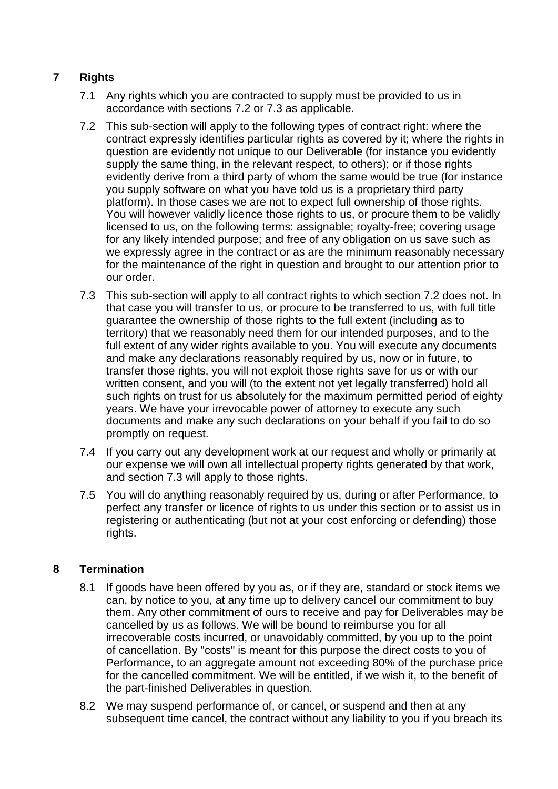# **7 Rights**

- 7.1 Any rights which you are contracted to supply must be provided to us in accordance with sections 7.2 or 7.3 as applicable.
- 7.2 This sub-section will apply to the following types of contract right: where the contract expressly identifies particular rights as covered by it; where the rights in question are evidently not unique to our Deliverable (for instance you evidently supply the same thing, in the relevant respect, to others); or if those rights evidently derive from a third party of whom the same would be true (for instance you supply software on what you have told us is a proprietary third party platform). In those cases we are not to expect full ownership of those rights. You will however validly licence those rights to us, or procure them to be validly licensed to us, on the following terms: assignable; royalty-free; covering usage for any likely intended purpose; and free of any obligation on us save such as we expressly agree in the contract or as are the minimum reasonably necessary for the maintenance of the right in question and brought to our attention prior to our order.
- 7.3 This sub-section will apply to all contract rights to which section 7.2 does not. In that case you will transfer to us, or procure to be transferred to us, with full title guarantee the ownership of those rights to the full extent (including as to territory) that we reasonably need them for our intended purposes, and to the full extent of any wider rights available to you. You will execute any documents and make any declarations reasonably required by us, now or in future, to transfer those rights, you will not exploit those rights save for us or with our written consent, and you will (to the extent not yet legally transferred) hold all such rights on trust for us absolutely for the maximum permitted period of eighty years. We have your irrevocable power of attorney to execute any such documents and make any such declarations on your behalf if you fail to do so promptly on request.
- 7.4 If you carry out any development work at our request and wholly or primarily at our expense we will own all intellectual property rights generated by that work, and section 7.3 will apply to those rights.
- 7.5 You will do anything reasonably required by us, during or after Performance, to perfect any transfer or licence of rights to us under this section or to assist us in registering or authenticating (but not at your cost enforcing or defending) those rights.

# **8 Termination**

- 8.1 If goods have been offered by you as, or if they are, standard or stock items we can, by notice to you, at any time up to delivery cancel our commitment to buy them. Any other commitment of ours to receive and pay for Deliverables may be cancelled by us as follows. We will be bound to reimburse you for all irrecoverable costs incurred, or unavoidably committed, by you up to the point of cancellation. By "costs" is meant for this purpose the direct costs to you of Performance, to an aggregate amount not exceeding 80% of the purchase price for the cancelled commitment. We will be entitled, if we wish it, to the benefit of the part-finished Deliverables in question.
- 8.2 We may suspend performance of, or cancel, or suspend and then at any subsequent time cancel, the contract without any liability to you if you breach its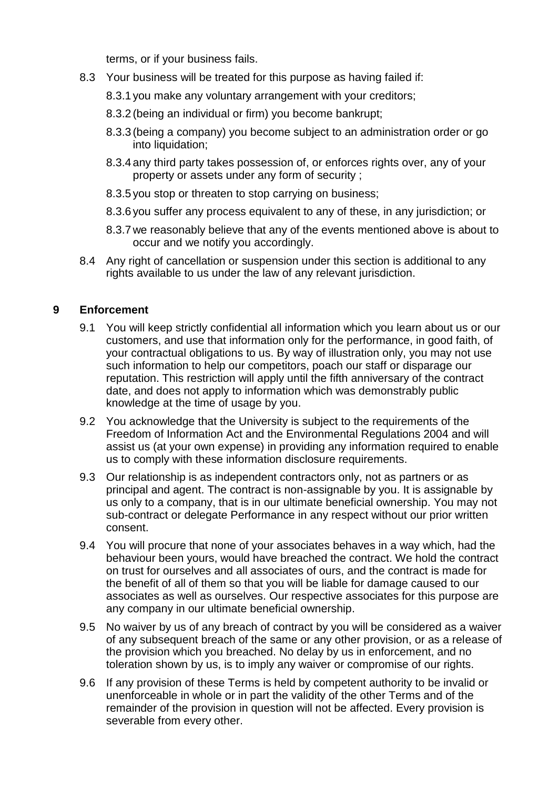terms, or if your business fails.

- 8.3 Your business will be treated for this purpose as having failed if:
	- 8.3.1 you make any voluntary arrangement with your creditors;
	- 8.3.2 (being an individual or firm) you become bankrupt;
	- 8.3.3 (being a company) you become subject to an administration order or go into liquidation;
	- 8.3.4 any third party takes possession of, or enforces rights over, any of your property or assets under any form of security ;
	- 8.3.5 you stop or threaten to stop carrying on business;
	- 8.3.6 you suffer any process equivalent to any of these, in any jurisdiction; or
	- 8.3.7 we reasonably believe that any of the events mentioned above is about to occur and we notify you accordingly.
- 8.4 Any right of cancellation or suspension under this section is additional to any rights available to us under the law of any relevant jurisdiction.

# **9 Enforcement**

- 9.1 You will keep strictly confidential all information which you learn about us or our customers, and use that information only for the performance, in good faith, of your contractual obligations to us. By way of illustration only, you may not use such information to help our competitors, poach our staff or disparage our reputation. This restriction will apply until the fifth anniversary of the contract date, and does not apply to information which was demonstrably public knowledge at the time of usage by you.
- 9.2 You acknowledge that the University is subject to the requirements of the Freedom of Information Act and the Environmental Regulations 2004 and will assist us (at your own expense) in providing any information required to enable us to comply with these information disclosure requirements.
- 9.3 Our relationship is as independent contractors only, not as partners or as principal and agent. The contract is non-assignable by you. It is assignable by us only to a company, that is in our ultimate beneficial ownership. You may not sub-contract or delegate Performance in any respect without our prior written consent.
- 9.4 You will procure that none of your associates behaves in a way which, had the behaviour been yours, would have breached the contract. We hold the contract on trust for ourselves and all associates of ours, and the contract is made for the benefit of all of them so that you will be liable for damage caused to our associates as well as ourselves. Our respective associates for this purpose are any company in our ultimate beneficial ownership.
- 9.5 No waiver by us of any breach of contract by you will be considered as a waiver of any subsequent breach of the same or any other provision, or as a release of the provision which you breached. No delay by us in enforcement, and no toleration shown by us, is to imply any waiver or compromise of our rights.
- 9.6 If any provision of these Terms is held by competent authority to be invalid or unenforceable in whole or in part the validity of the other Terms and of the remainder of the provision in question will not be affected. Every provision is severable from every other.